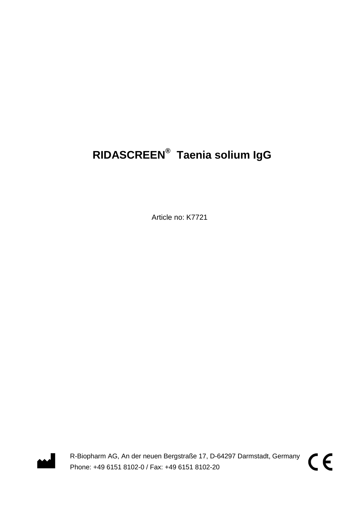# **RIDASCREEN® Taenia solium IgG**

Article no: K7721



R-Biopharm AG, An der neuen Bergstraße 17, D-64297 Darmstadt, Germany Phone: +49 6151 8102-0 / Fax: +49 6151 8102-20

CE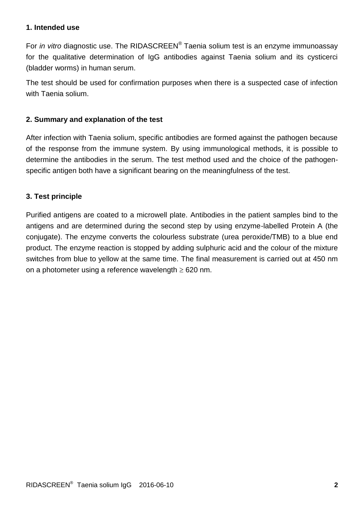#### **1. Intended use**

For *in vitro* diagnostic use. The RIDASCREEN® Taenia solium test is an enzyme immunoassay for the qualitative determination of IgG antibodies against Taenia solium and its cysticerci (bladder worms) in human serum.

The test should be used for confirmation purposes when there is a suspected case of infection with Taenia solium.

#### **2. Summary and explanation of the test**

After infection with Taenia solium, specific antibodies are formed against the pathogen because of the response from the immune system. By using immunological methods, it is possible to determine the antibodies in the serum. The test method used and the choice of the pathogenspecific antigen both have a significant bearing on the meaningfulness of the test.

#### **3. Test principle**

Purified antigens are coated to a microwell plate. Antibodies in the patient samples bind to the antigens and are determined during the second step by using enzyme-labelled Protein A (the conjugate). The enzyme converts the colourless substrate (urea peroxide/TMB) to a blue end product. The enzyme reaction is stopped by adding sulphuric acid and the colour of the mixture switches from blue to yellow at the same time. The final measurement is carried out at 450 nm on a photometer using a reference wavelength  $\geq 620$  nm.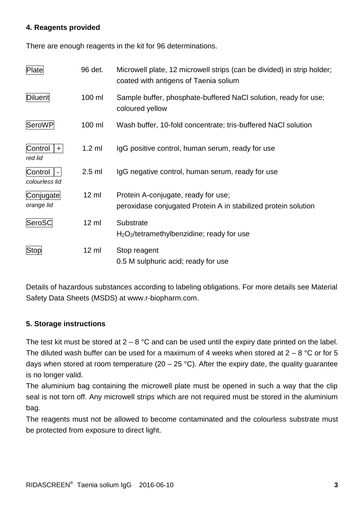## **4. Reagents provided**

There are enough reagents in the kit for 96 determinations.

| Plate                                       | 96 det.         | Microwell plate, 12 microwell strips (can be divided) in strip holder;<br>coated with antigens of Taenia solium |
|---------------------------------------------|-----------------|-----------------------------------------------------------------------------------------------------------------|
| <b>Diluent</b>                              | 100 ml          | Sample buffer, phosphate-buffered NaCl solution, ready for use;<br>coloured yellow                              |
| SeroWP                                      | 100 ml          | Wash buffer, 10-fold concentrate; tris-buffered NaCl solution                                                   |
| Control<br>$+$<br>red lid                   | $1.2$ ml        | IgG positive control, human serum, ready for use                                                                |
| Control<br>$\blacksquare$<br>colourless lid | $2.5$ ml        | IgG negative control, human serum, ready for use                                                                |
| Conjugate<br>orange lid                     | $12 \text{ ml}$ | Protein A-conjugate, ready for use;<br>peroxidase conjugated Protein A in stabilized protein solution           |
| SeroSC                                      | $12 \text{ ml}$ | Substrate<br>$H_2O_2$ /tetramethylbenzidine; ready for use                                                      |
| Stop                                        | $12 \text{ ml}$ | Stop reagent<br>0.5 M sulphuric acid; ready for use                                                             |

Details of hazardous substances according to labeling obligations. For more details see Material Safety Data Sheets (MSDS) at www.r-biopharm.com.

## **5. Storage instructions**

The test kit must be stored at  $2 - 8$  °C and can be used until the expiry date printed on the label. The diluted wash buffer can be used for a maximum of 4 weeks when stored at  $2 - 8$  °C or for 5 days when stored at room temperature (20 – 25 °C). After the expiry date, the quality guarantee is no longer valid.

The aluminium bag containing the microwell plate must be opened in such a way that the clip seal is not torn off. Any microwell strips which are not required must be stored in the aluminium bag.

The reagents must not be allowed to become contaminated and the colourless substrate must be protected from exposure to direct light.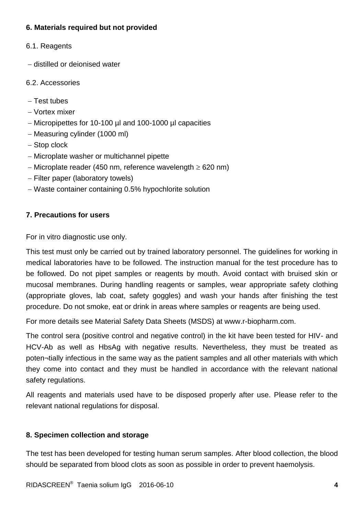# **6. Materials required but not provided**

- 6.1. Reagents
- distilled or deionised water
- 6.2. Accessories
- $-$  Test tubes
- Vortex mixer
- Micropipettes for 10-100 µl and 100-1000 µl capacities
- Measuring cylinder (1000 ml)
- Stop clock
- Microplate washer or multichannel pipette
- Microplate reader (450 nm, reference wavelength  $\geq$  620 nm)
- Filter paper (laboratory towels)
- Waste container containing 0.5% hypochlorite solution

# **7. Precautions for users**

For in vitro diagnostic use only.

This test must only be carried out by trained laboratory personnel. The guidelines for working in medical laboratories have to be followed. The instruction manual for the test procedure has to be followed. Do not pipet samples or reagents by mouth. Avoid contact with bruised skin or mucosal membranes. During handling reagents or samples, wear appropriate safety clothing (appropriate gloves, lab coat, safety goggles) and wash your hands after finishing the test procedure. Do not smoke, eat or drink in areas where samples or reagents are being used.

For more details see Material Safety Data Sheets (MSDS) at www.r-biopharm.com.

The control sera (positive control and negative control) in the kit have been tested for HIV- and HCV-Ab as well as HbsAg with negative results. Nevertheless, they must be treated as poten¬tially infectious in the same way as the patient samples and all other materials with which they come into contact and they must be handled in accordance with the relevant national safety regulations.

All reagents and materials used have to be disposed properly after use. Please refer to the relevant national regulations for disposal.

## **8. Specimen collection and storage**

The test has been developed for testing human serum samples. After blood collection, the blood should be separated from blood clots as soon as possible in order to prevent haemolysis.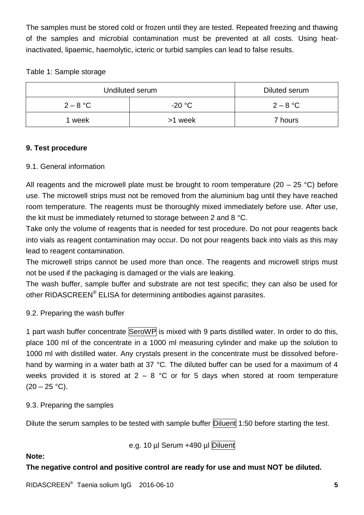The samples must be stored cold or frozen until they are tested. Repeated freezing and thawing of the samples and microbial contamination must be prevented at all costs. Using heatinactivated, lipaemic, haemolytic, icteric or turbid samples can lead to false results.

# Table 1: Sample storage

| Undiluted serum | Diluted serum |            |
|-----------------|---------------|------------|
| $2 - 8$ °C      | $-20 °C$      | $2 - 8$ °C |
| week            | >1 week       | 7 hours    |

# **9. Test procedure**

## 9.1. General information

All reagents and the microwell plate must be brought to room temperature (20 – 25 °C) before use. The microwell strips must not be removed from the aluminium bag until they have reached room temperature. The reagents must be thoroughly mixed immediately before use. After use, the kit must be immediately returned to storage between 2 and 8 °C.

Take only the volume of reagents that is needed for test procedure. Do not pour reagents back into vials as reagent contamination may occur. Do not pour reagents back into vials as this may lead to reagent contamination.

The microwell strips cannot be used more than once. The reagents and microwell strips must not be used if the packaging is damaged or the vials are leaking.

The wash buffer, sample buffer and substrate are not test specific; they can also be used for other RIDASCREEN® ELISA for determining antibodies against parasites.

# 9.2. Preparing the wash buffer

1 part wash buffer concentrate SeroWP is mixed with 9 parts distilled water. In order to do this, place 100 ml of the concentrate in a 1000 ml measuring cylinder and make up the solution to 1000 ml with distilled water. Any crystals present in the concentrate must be dissolved beforehand by warming in a water bath at 37 °C. The diluted buffer can be used for a maximum of 4 weeks provided it is stored at  $2 - 8$  °C or for 5 days when stored at room temperature  $(20 - 25 \degree C)$ .

## 9.3. Preparing the samples

Dilute the serum samples to be tested with sample buffer Diluent 1:50 before starting the test.

e.g. 10 µl Serum +490 µl Diluent

## **Note:**

## **The negative control and positive control are ready for use and must NOT be diluted.**

RIDASCREEN® Taenia solium IgG 2016-06-10 **5**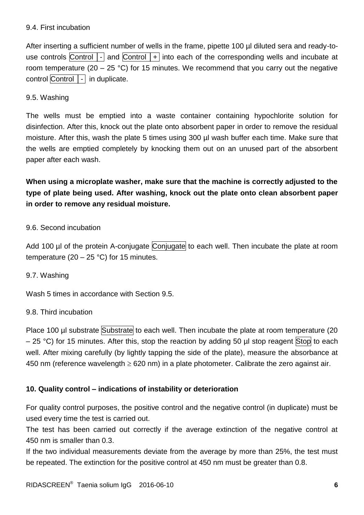#### 9.4. First incubation

After inserting a sufficient number of wells in the frame, pipette 100 µl diluted sera and ready-touse controls Control  $\lceil \cdot \rceil$  and Control  $\lceil \cdot \rceil$  into each of the corresponding wells and incubate at room temperature (20 – 25 °C) for 15 minutes. We recommend that you carry out the negative control Control │- in duplicate.

#### 9.5. Washing

The wells must be emptied into a waste container containing hypochlorite solution for disinfection. After this, knock out the plate onto absorbent paper in order to remove the residual moisture. After this, wash the plate 5 times using 300 µl wash buffer each time. Make sure that the wells are emptied completely by knocking them out on an unused part of the absorbent paper after each wash.

**When using a microplate washer, make sure that the machine is correctly adjusted to the type of plate being used. After washing, knock out the plate onto clean absorbent paper in order to remove any residual moisture.**

#### 9.6. Second incubation

Add 100 µl of the protein A-conjugate Conjugate to each well. Then incubate the plate at room temperature  $(20 - 25 \degree C)$  for 15 minutes.

#### 9.7. Washing

Wash 5 times in accordance with Section 9.5.

## 9.8. Third incubation

Place 100 µl substrate Substrate to each well. Then incubate the plate at room temperature (20  $-$  25 °C) for 15 minutes. After this, stop the reaction by adding 50 µl stop reagent Stop to each well. After mixing carefully (by lightly tapping the side of the plate), measure the absorbance at 450 nm (reference wavelength  $\geq$  620 nm) in a plate photometer. Calibrate the zero against air.

## **10. Quality control – indications of instability or deterioration**

For quality control purposes, the positive control and the negative control (in duplicate) must be used every time the test is carried out.

The test has been carried out correctly if the average extinction of the negative control at 450 nm is smaller than 0.3.

If the two individual measurements deviate from the average by more than 25%, the test must be repeated. The extinction for the positive control at 450 nm must be greater than 0.8.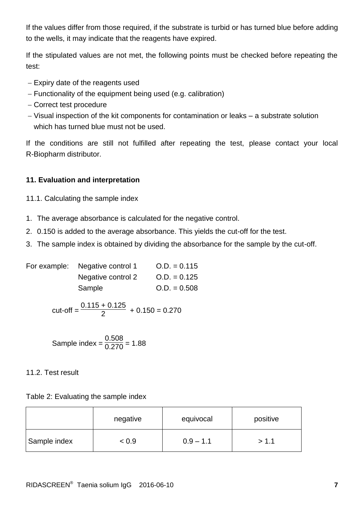If the values differ from those required, if the substrate is turbid or has turned blue before adding to the wells, it may indicate that the reagents have expired.

If the stipulated values are not met, the following points must be checked before repeating the test:

- Expiry date of the reagents used
- Functionality of the equipment being used (e.g. calibration)
- Correct test procedure
- Visual inspection of the kit components for contamination or leaks a substrate solution which has turned blue must not be used.

If the conditions are still not fulfilled after repeating the test, please contact your local R-Biopharm distributor.

# **11. Evaluation and interpretation**

- 11.1. Calculating the sample index
- 1. The average absorbance is calculated for the negative control.
- 2. 0.150 is added to the average absorbance. This yields the cut-off for the test.
- 3. The sample index is obtained by dividing the absorbance for the sample by the cut-off.

| For example: Negative control 1 | $Q.D. = 0.115$ |
|---------------------------------|----------------|
| Negative control 2              | $Q.D. = 0.125$ |
| Sample                          | $Q.D. = 0.508$ |

cut-off = 
$$
\frac{0.115 + 0.125}{2} + 0.150 = 0.270
$$

Sample index = 
$$
\frac{0.508}{0.270}
$$
 = 1.88

## 11.2. Test result

Table 2: Evaluating the sample index

|              | negative | equivocal   | positive |
|--------------|----------|-------------|----------|
| Sample index | < 0.9    | $0.9 - 1.1$ | >1.1     |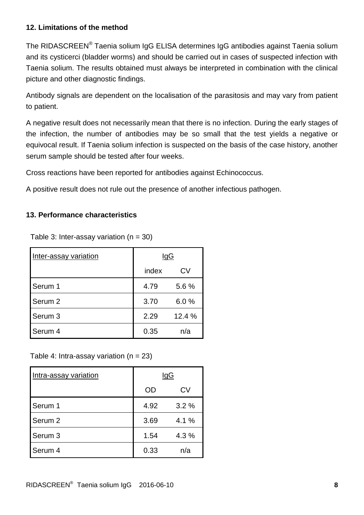# **12. Limitations of the method**

The RIDASCREEN® Taenia solium IgG ELISA determines IgG antibodies against Taenia solium and its cysticerci (bladder worms) and should be carried out in cases of suspected infection with Taenia solium. The results obtained must always be interpreted in combination with the clinical picture and other diagnostic findings.

Antibody signals are dependent on the localisation of the parasitosis and may vary from patient to patient.

A negative result does not necessarily mean that there is no infection. During the early stages of the infection, the number of antibodies may be so small that the test yields a negative or equivocal result. If Taenia solium infection is suspected on the basis of the case history, another serum sample should be tested after four weeks.

Cross reactions have been reported for antibodies against Echinococcus.

A positive result does not rule out the presence of another infectious pathogen.

# **13. Performance characteristics**

Table 3: Inter-assay variation  $(n = 30)$ 

| Inter-assay variation | <u>IgG</u> |        |
|-----------------------|------------|--------|
|                       | index      | CV     |
| Serum 1               | 4.79       | 5.6 %  |
| Serum <sub>2</sub>    | 3.70       | 6.0%   |
| Serum 3               | 2.29       | 12.4 % |
| Serum 4               | 0.35       | n/a    |

## Table 4: Intra-assay variation  $(n = 23)$

| Intra-assay variation | <u>IgG</u> |       |
|-----------------------|------------|-------|
|                       | OD         | СV    |
| Serum 1               | 4.92       | 3.2%  |
| Serum <sub>2</sub>    | 3.69       | 4.1 % |
| Serum 3               | 1.54       | 4.3%  |
| Serum 4               | 0.33       | n/a   |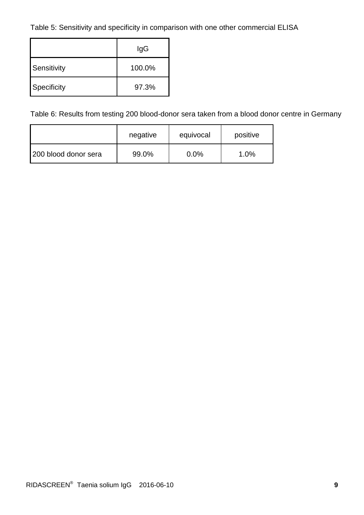Table 5: Sensitivity and specificity in comparison with one other commercial ELISA

|             | lgG    |  |  |
|-------------|--------|--|--|
| Sensitivity | 100.0% |  |  |
| Specificity | 97.3%  |  |  |

Table 6: Results from testing 200 blood-donor sera taken from a blood donor centre in Germany

|                      | negative | equivocal | positive |
|----------------------|----------|-----------|----------|
| 200 blood donor sera | 99.0%    | $0.0\%$   | 1.0%     |